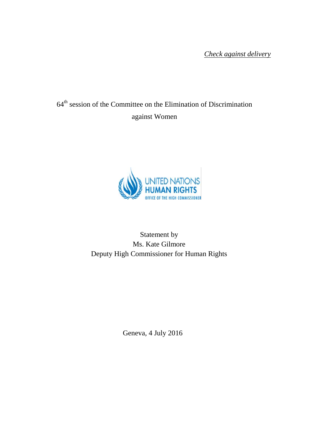*Check against delivery*

# 64<sup>th</sup> session of the Committee on the Elimination of Discrimination against Women



## Statement by Ms. Kate Gilmore Deputy High Commissioner for Human Rights

Geneva, 4 July 2016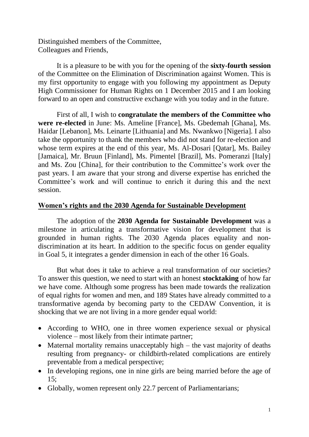Distinguished members of the Committee, Colleagues and Friends,

It is a pleasure to be with you for the opening of the **sixty-fourth session** of the Committee on the Elimination of Discrimination against Women. This is my first opportunity to engage with you following my appointment as Deputy High Commissioner for Human Rights on 1 December 2015 and I am looking forward to an open and constructive exchange with you today and in the future.

First of all, I wish to **congratulate the members of the Committee who were re-elected** in June: Ms. Ameline [France], Ms. Gbedemah [Ghana], Ms. Haidar [Lebanon], Ms. Leinarte [Lithuania] and Ms. Nwankwo [Nigeria]. I also take the opportunity to thank the members who did not stand for re-election and whose term expires at the end of this year, Ms. Al-Dosari [Qatar], Ms. Bailey [Jamaica], Mr. Bruun [Finland], Ms. Pimentel [Brazil], Ms. Pomeranzi [Italy] and Ms. Zou [China], for their contribution to the Committee's work over the past years. I am aware that your strong and diverse expertise has enriched the Committee's work and will continue to enrich it during this and the next session.

#### **Women's rights and the 2030 Agenda for Sustainable Development**

The adoption of the **2030 Agenda for Sustainable Development** was a milestone in articulating a transformative vision for development that is grounded in human rights. The 2030 Agenda places equality and nondiscrimination at its heart. In addition to the specific focus on gender equality in Goal 5, it integrates a gender dimension in each of the other 16 Goals.

But what does it take to achieve a real transformation of our societies? To answer this question, we need to start with an honest **stocktaking** of how far we have come. Although some progress has been made towards the realization of equal rights for women and men, and 189 States have already committed to a transformative agenda by becoming party to the CEDAW Convention, it is shocking that we are not living in a more gender equal world:

- According to WHO, one in three women experience sexual or physical violence – most likely from their intimate partner;
- Maternal mortality remains unacceptably high  $-$  the vast majority of deaths resulting from pregnancy- or childbirth-related complications are entirely preventable from a medical perspective;
- In developing regions, one in nine girls are being married before the age of 15;
- Globally, women represent only 22.7 percent of Parliamentarians;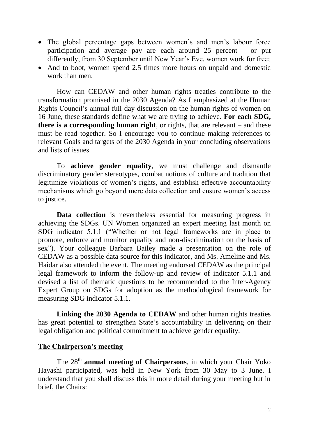- The global percentage gaps between women's and men's labour force participation and average pay are each around 25 percent – or put differently, from 30 September until New Year's Eve, women work for free;
- And to boot, women spend 2.5 times more hours on unpaid and domestic work than men.

How can CEDAW and other human rights treaties contribute to the transformation promised in the 2030 Agenda? As I emphasized at the Human Rights Council's annual full-day discussion on the human rights of women on 16 June, these standards define what we are trying to achieve. **For each SDG, there is a corresponding human right**, or rights, that are relevant – and these must be read together. So I encourage you to continue making references to relevant Goals and targets of the 2030 Agenda in your concluding observations and lists of issues.

To **achieve gender equality**, we must challenge and dismantle discriminatory gender stereotypes, combat notions of culture and tradition that legitimize violations of women's rights, and establish effective accountability mechanisms which go beyond mere data collection and ensure women's access to justice.

**Data collection** is nevertheless essential for measuring progress in achieving the SDGs. UN Women organized an expert meeting last month on SDG indicator 5.1.1 ("Whether or not legal frameworks are in place to promote, enforce and monitor equality and non-discrimination on the basis of sex"). Your colleague Barbara Bailey made a presentation on the role of CEDAW as a possible data source for this indicator, and Ms. Ameline and Ms. Haidar also attended the event. The meeting endorsed CEDAW as the principal legal framework to inform the follow-up and review of indicator 5.1.1 and devised a list of thematic questions to be recommended to the Inter-Agency Expert Group on SDGs for adoption as the methodological framework for measuring SDG indicator 5.1.1.

**Linking the 2030 Agenda to CEDAW** and other human rights treaties has great potential to strengthen State's accountability in delivering on their legal obligation and political commitment to achieve gender equality.

#### **The Chairperson's meeting**

The 28<sup>th</sup> **annual meeting of Chairpersons**, in which your Chair Yoko Hayashi participated, was held in New York from 30 May to 3 June. I understand that you shall discuss this in more detail during your meeting but in brief, the Chairs: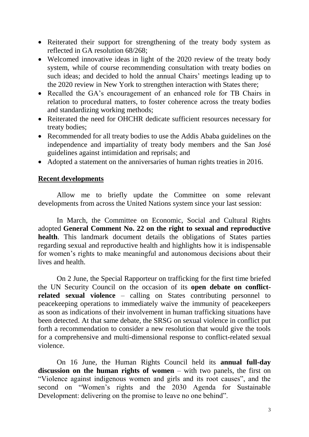- Reiterated their support for strengthening of the treaty body system as reflected in GA resolution 68/268;
- Welcomed innovative ideas in light of the 2020 review of the treaty body system, while of course recommending consultation with treaty bodies on such ideas; and decided to hold the annual Chairs' meetings leading up to the 2020 review in New York to strengthen interaction with States there;
- Recalled the GA's encouragement of an enhanced role for TB Chairs in relation to procedural matters, to foster coherence across the treaty bodies and standardizing working methods;
- Reiterated the need for OHCHR dedicate sufficient resources necessary for treaty bodies;
- Recommended for all treaty bodies to use the Addis Ababa guidelines on the independence and impartiality of treaty body members and the San José guidelines against intimidation and reprisals; and
- Adopted a statement on the anniversaries of human rights treaties in 2016.

#### **Recent developments**

Allow me to briefly update the Committee on some relevant developments from across the United Nations system since your last session:

In March, the Committee on Economic, Social and Cultural Rights adopted **General Comment No. 22 on the right to sexual and reproductive health**. This landmark document details the obligations of States parties regarding sexual and reproductive health and highlights how it is indispensable for women's rights to make meaningful and autonomous decisions about their lives and health.

On 2 June, the Special Rapporteur on trafficking for the first time briefed the UN Security Council on the occasion of its **open debate on conflictrelated sexual violence** – calling on States contributing personnel to peacekeeping operations to immediately waive the immunity of peacekeepers as soon as indications of their involvement in human trafficking situations have been detected. At that same debate, the SRSG on sexual violence in conflict put forth a recommendation to consider a new resolution that would give the tools for a comprehensive and multi-dimensional response to conflict-related sexual violence.

On 16 June, the Human Rights Council held its **annual full-day discussion on the human rights of women** – with two panels, the first on "Violence against indigenous women and girls and its root causes", and the second on "Women's rights and the 2030 Agenda for Sustainable Development: delivering on the promise to leave no one behind".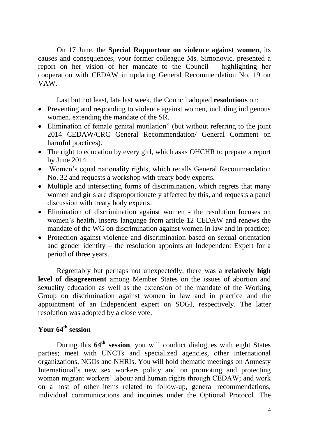On 17 June, the **Special Rapporteur on violence against women**, its causes and consequences, your former colleague Ms. Simonovic, presented a report on her vision of her mandate to the Council – highlighting her cooperation with CEDAW in updating General Recommendation No. 19 on VAW.

Last but not least, late last week, the Council adopted **resolutions** on:

- Preventing and responding to violence against women, including indigenous women, extending the mandate of the SR.
- Elimination of female genital mutilation" (but without referring to the joint 2014 CEDAW/CRC General Recommendation/ General Comment on harmful practices).
- The right to education by every girl, which asks OHCHR to prepare a report by June 2014.
- Women's equal nationality rights, which recalls General Recommendation No. 32 and requests a workshop with treaty body experts.
- Multiple and intersecting forms of discrimination, which regrets that many women and girls are disproportionately affected by this, and requests a panel discussion with treaty body experts.
- Elimination of discrimination against women the resolution focuses on women's health, inserts language from article 12 CEDAW and renews the mandate of the WG on discrimination against women in law and in practice;
- Protection against violence and discrimination based on sexual orientation and gender identity – the resolution appoints an Independent Expert for a period of three years.

Regrettably but perhaps not unexpectedly, there was a **relatively high level of disagreement** among Member States on the issues of abortion and sexuality education as well as the extension of the mandate of the Working Group on discrimination against women in law and in practice and the appointment of an Independent expert on SOGI, respectively. The latter resolution was adopted by a close vote.

### **Your 64 th session**

During this 64<sup>th</sup> session, you will conduct dialogues with eight States parties; meet with UNCTs and specialized agencies, other international organizations, NGOs and NHRIs. You will hold thematic meetings on Amnesty International's new sex workers policy and on promoting and protecting women migrant workers' labour and human rights through CEDAW; and work on a host of other items related to follow-up, general recommendations, individual communications and inquiries under the Optional Protocol. The